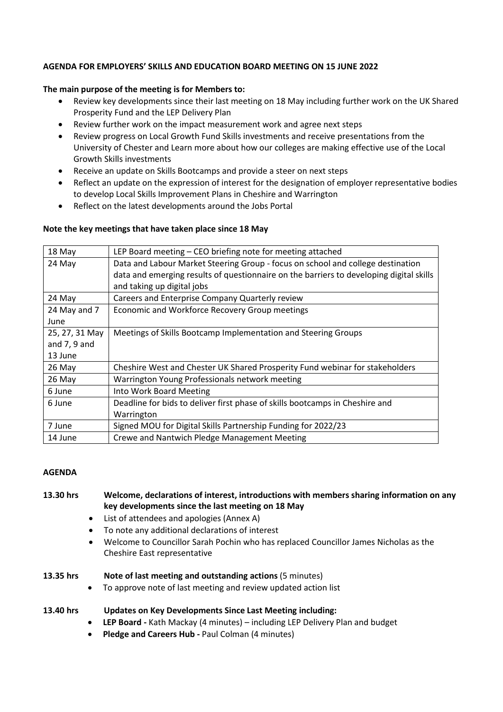### **AGENDA FOR EMPLOYERS' SKILLS AND EDUCATION BOARD MEETING ON 15 JUNE 2022**

### **The main purpose of the meeting is for Members to:**

- Review key developments since their last meeting on 18 May including further work on the UK Shared Prosperity Fund and the LEP Delivery Plan
- Review further work on the impact measurement work and agree next steps
- Review progress on Local Growth Fund Skills investments and receive presentations from the University of Chester and Learn more about how our colleges are making effective use of the Local Growth Skills investments
- Receive an update on Skills Bootcamps and provide a steer on next steps
- Reflect an update on the expression of interest for the designation of employer representative bodies to develop Local Skills Improvement Plans in Cheshire and Warrington
- Reflect on the latest developments around the Jobs Portal

### **Note the key meetings that have taken place since 18 May**

| 18 May         | LEP Board meeting – CEO briefing note for meeting attached                              |
|----------------|-----------------------------------------------------------------------------------------|
| 24 May         | Data and Labour Market Steering Group - focus on school and college destination         |
|                | data and emerging results of questionnaire on the barriers to developing digital skills |
|                | and taking up digital jobs                                                              |
| 24 May         | Careers and Enterprise Company Quarterly review                                         |
| 24 May and 7   | Economic and Workforce Recovery Group meetings                                          |
| June           |                                                                                         |
| 25, 27, 31 May | Meetings of Skills Bootcamp Implementation and Steering Groups                          |
| and $7, 9$ and |                                                                                         |
| 13 June        |                                                                                         |
| 26 May         | Cheshire West and Chester UK Shared Prosperity Fund webinar for stakeholders            |
| 26 May         | Warrington Young Professionals network meeting                                          |
| 6 June         | Into Work Board Meeting                                                                 |
| 6 June         | Deadline for bids to deliver first phase of skills bootcamps in Cheshire and            |
|                | Warrington                                                                              |
| 7 June         | Signed MOU for Digital Skills Partnership Funding for 2022/23                           |
| 14 June        | Crewe and Nantwich Pledge Management Meeting                                            |

### **AGENDA**

# **13.30 hrs Welcome, declarations of interest, introductions with members sharing information on any key developments since the last meeting on 18 May**

- List of attendees and apologies (Annex A)
- To note any additional declarations of interest
- Welcome to Councillor Sarah Pochin who has replaced Councillor James Nicholas as the Cheshire East representative

### **13.35 hrs Note of last meeting and outstanding actions** (5 minutes)

• To approve note of last meeting and review updated action list

### **13.40 hrs Updates on Key Developments Since Last Meeting including:**

- **LEP Board -** Kath Mackay (4 minutes) including LEP Delivery Plan and budget
- **Pledge and Careers Hub -** Paul Colman (4 minutes)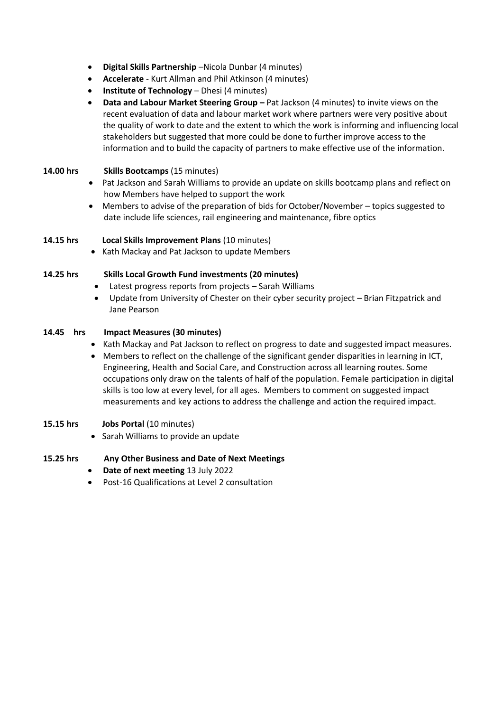- **Digital Skills Partnership** –Nicola Dunbar (4 minutes)
- **Accelerate** Kurt Allman and Phil Atkinson (4 minutes)
- **Institute of Technology** Dhesi (4 minutes)
- **Data and Labour Market Steering Group –** Pat Jackson (4 minutes) to invite views on the recent evaluation of data and labour market work where partners were very positive about the quality of work to date and the extent to which the work is informing and influencing local stakeholders but suggested that more could be done to further improve access to the information and to build the capacity of partners to make effective use of the information.

## **14.00 hrs Skills Bootcamps** (15 minutes)

- Pat Jackson and Sarah Williams to provide an update on skills bootcamp plans and reflect on how Members have helped to support the work
- Members to advise of the preparation of bids for October/November topics suggested to date include life sciences, rail engineering and maintenance, fibre optics

### **14.15 hrs Local Skills Improvement Plans** (10 minutes)

• Kath Mackay and Pat Jackson to update Members

### **14.25 hrs Skills Local Growth Fund investments (20 minutes)**

- Latest progress reports from projects Sarah Williams
- Update from University of Chester on their cyber security project Brian Fitzpatrick and Jane Pearson

### **14.45 hrs Impact Measures (30 minutes)**

- Kath Mackay and Pat Jackson to reflect on progress to date and suggested impact measures.
- Members to reflect on the challenge of the significant gender disparities in learning in ICT, Engineering, Health and Social Care, and Construction across all learning routes. Some occupations only draw on the talents of half of the population. Female participation in digital skills is too low at every level, for all ages. Members to comment on suggested impact measurements and key actions to address the challenge and action the required impact.

### **15.15 hrs Jobs Portal** (10 minutes)

• Sarah Williams to provide an update

### **15.25 hrs Any Other Business and Date of Next Meetings**

- **Date of next meeting** 13 July 2022
- Post-16 Qualifications at Level 2 consultation